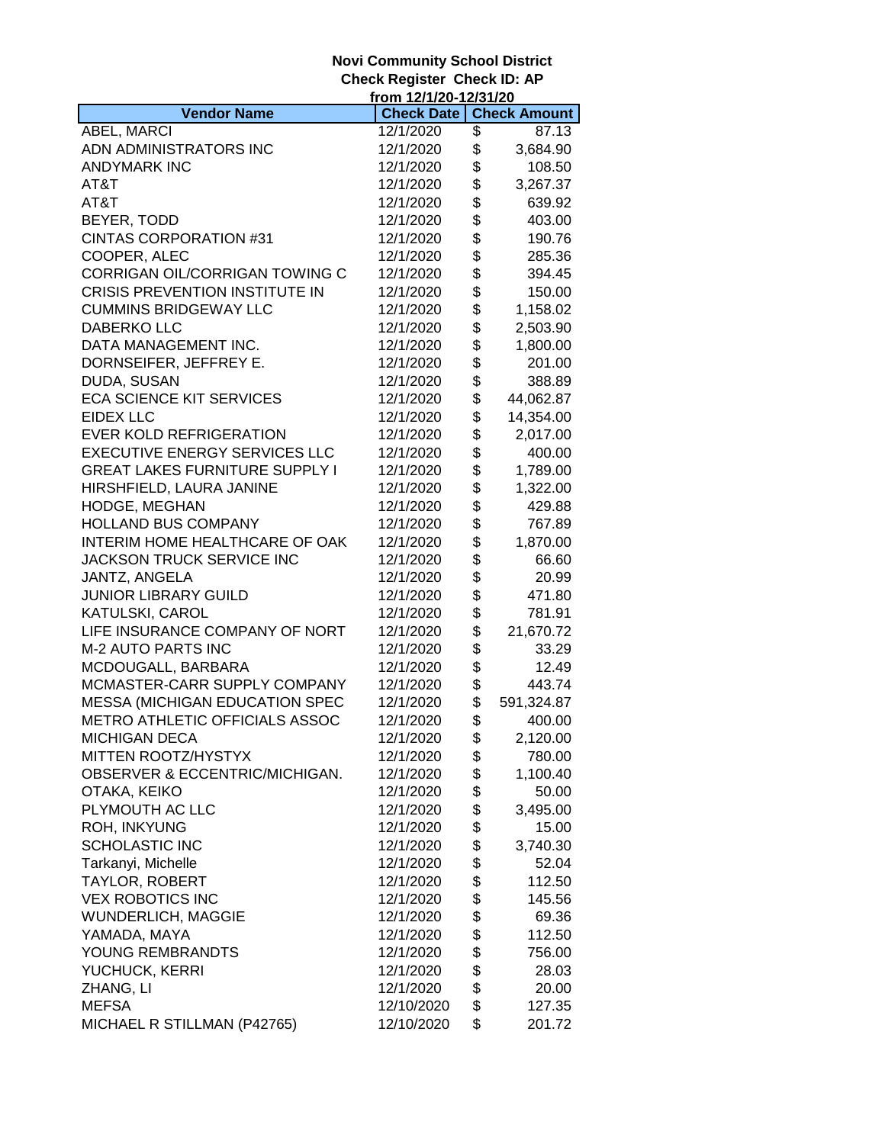|                                       | from 12/1/20-12/31/20 |                     |
|---------------------------------------|-----------------------|---------------------|
| <b>Vendor Name</b>                    | <b>Check Date</b>     | <b>Check Amount</b> |
| ABEL, MARCI                           | 12/1/2020             | \$<br>87.13         |
| ADN ADMINISTRATORS INC                | 12/1/2020             | \$<br>3,684.90      |
| <b>ANDYMARK INC</b>                   | 12/1/2020             | \$<br>108.50        |
| AT&T                                  | 12/1/2020             | \$<br>3,267.37      |
| AT&T                                  | 12/1/2020             | \$<br>639.92        |
| BEYER, TODD                           | 12/1/2020             | \$<br>403.00        |
| <b>CINTAS CORPORATION #31</b>         | 12/1/2020             | \$<br>190.76        |
| COOPER, ALEC                          | 12/1/2020             | \$<br>285.36        |
| CORRIGAN OIL/CORRIGAN TOWING C        | 12/1/2020             | \$<br>394.45        |
| <b>CRISIS PREVENTION INSTITUTE IN</b> | 12/1/2020             | \$<br>150.00        |
| <b>CUMMINS BRIDGEWAY LLC</b>          | 12/1/2020             | \$<br>1,158.02      |
| <b>DABERKO LLC</b>                    | 12/1/2020             | \$<br>2,503.90      |
| DATA MANAGEMENT INC.                  | 12/1/2020             | \$<br>1,800.00      |
| DORNSEIFER, JEFFREY E.                | 12/1/2020             | \$<br>201.00        |
| DUDA, SUSAN                           | 12/1/2020             | \$<br>388.89        |
| <b>ECA SCIENCE KIT SERVICES</b>       | 12/1/2020             | \$<br>44,062.87     |
| <b>EIDEX LLC</b>                      | 12/1/2020             | \$<br>14,354.00     |
| <b>EVER KOLD REFRIGERATION</b>        | 12/1/2020             | \$<br>2,017.00      |
| <b>EXECUTIVE ENERGY SERVICES LLC</b>  | 12/1/2020             | \$<br>400.00        |
| <b>GREAT LAKES FURNITURE SUPPLY I</b> | 12/1/2020             | \$<br>1,789.00      |
| HIRSHFIELD, LAURA JANINE              | 12/1/2020             | \$<br>1,322.00      |
| HODGE, MEGHAN                         | 12/1/2020             | \$<br>429.88        |
| <b>HOLLAND BUS COMPANY</b>            | 12/1/2020             | \$<br>767.89        |
| INTERIM HOME HEALTHCARE OF OAK        | 12/1/2020             | \$<br>1,870.00      |
| JACKSON TRUCK SERVICE INC             | 12/1/2020             | \$<br>66.60         |
| JANTZ, ANGELA                         | 12/1/2020             | \$<br>20.99         |
| <b>JUNIOR LIBRARY GUILD</b>           | 12/1/2020             | \$<br>471.80        |
| KATULSKI, CAROL                       | 12/1/2020             | \$<br>781.91        |
| LIFE INSURANCE COMPANY OF NORT        | 12/1/2020             | \$<br>21,670.72     |
| <b>M-2 AUTO PARTS INC</b>             | 12/1/2020             | \$<br>33.29         |
| MCDOUGALL, BARBARA                    | 12/1/2020             | \$<br>12.49         |
| MCMASTER-CARR SUPPLY COMPANY          | 12/1/2020             | \$<br>443.74        |
| <b>MESSA (MICHIGAN EDUCATION SPEC</b> | 12/1/2020             | \$<br>591,324.87    |
| METRO ATHLETIC OFFICIALS ASSOC        | 12/1/2020             | \$<br>400.00        |
| MICHIGAN DECA-                        | 12/1/2020             | \$<br>2,120.00      |
| MITTEN ROOTZ/HYSTYX                   | 12/1/2020             | \$<br>780.00        |
| OBSERVER & ECCENTRIC/MICHIGAN.        | 12/1/2020             | \$<br>1,100.40      |
| OTAKA, KEIKO                          | 12/1/2020             | \$<br>50.00         |
| PLYMOUTH AC LLC                       | 12/1/2020             | \$<br>3,495.00      |
| <b>ROH, INKYUNG</b>                   | 12/1/2020             | \$<br>15.00         |
| <b>SCHOLASTIC INC</b>                 | 12/1/2020             | \$<br>3,740.30      |
| Tarkanyi, Michelle                    | 12/1/2020             | \$<br>52.04         |
| TAYLOR, ROBERT                        | 12/1/2020             | \$<br>112.50        |
| <b>VEX ROBOTICS INC</b>               | 12/1/2020             | \$<br>145.56        |
| <b>WUNDERLICH, MAGGIE</b>             | 12/1/2020             | \$<br>69.36         |
| YAMADA, MAYA                          | 12/1/2020             | \$<br>112.50        |
| YOUNG REMBRANDTS                      | 12/1/2020             | \$<br>756.00        |
| YUCHUCK, KERRI                        | 12/1/2020             | \$<br>28.03         |
| ZHANG, LI                             | 12/1/2020             | \$<br>20.00         |
| <b>MEFSA</b>                          | 12/10/2020            | \$<br>127.35        |
| MICHAEL R STILLMAN (P42765)           | 12/10/2020            | \$<br>201.72        |
|                                       |                       |                     |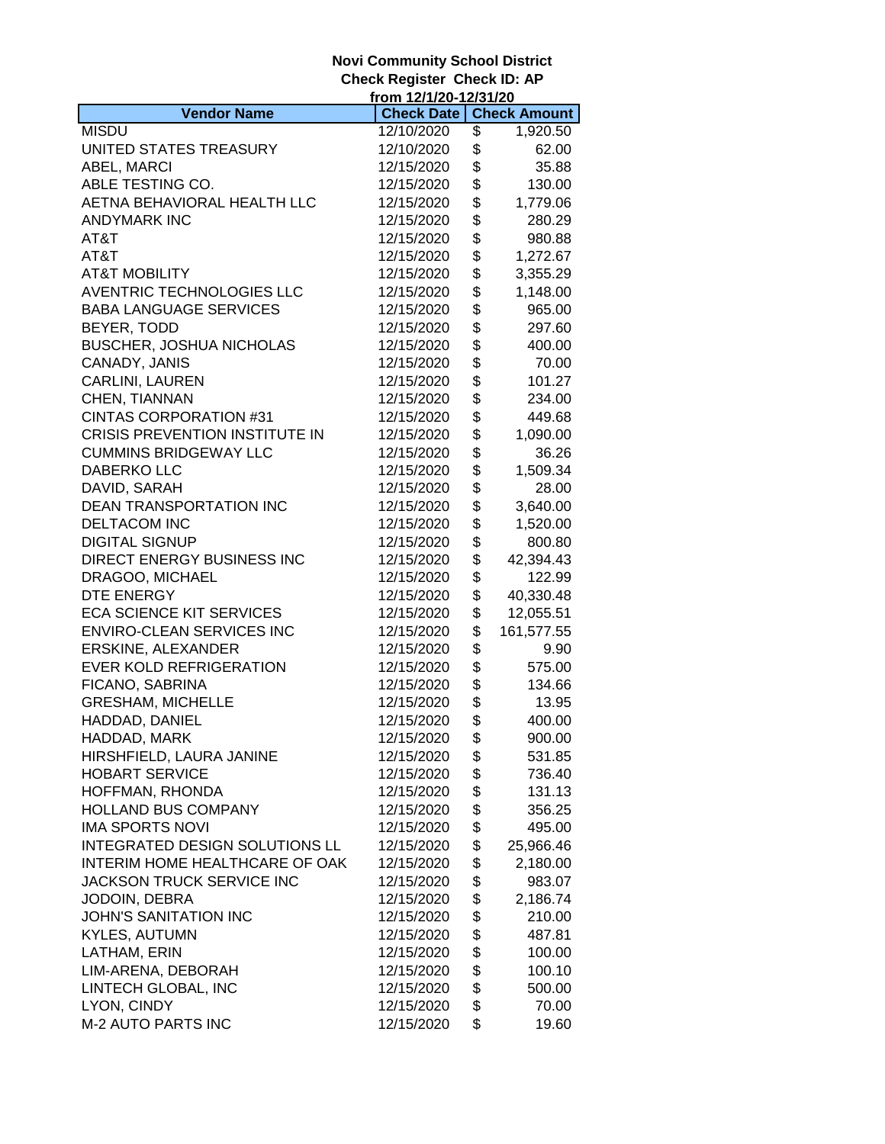|                                       | from 12/1/20-12/31/20 |                     |
|---------------------------------------|-----------------------|---------------------|
| <b>Vendor Name</b>                    | <b>Check Date</b>     | <b>Check Amount</b> |
| <b>MISDU</b>                          | 12/10/2020            | \$<br>1,920.50      |
| UNITED STATES TREASURY                | 12/10/2020            | \$<br>62.00         |
| ABEL, MARCI                           | 12/15/2020            | \$<br>35.88         |
| ABLE TESTING CO.                      | 12/15/2020            | \$<br>130.00        |
| AETNA BEHAVIORAL HEALTH LLC           | 12/15/2020            | \$<br>1,779.06      |
| <b>ANDYMARK INC</b>                   | 12/15/2020            | \$<br>280.29        |
| AT&T                                  | 12/15/2020            | \$<br>980.88        |
| AT&T                                  | 12/15/2020            | \$<br>1,272.67      |
| <b>AT&amp;T MOBILITY</b>              | 12/15/2020            | \$<br>3,355.29      |
| AVENTRIC TECHNOLOGIES LLC             | 12/15/2020            | \$<br>1,148.00      |
| <b>BABA LANGUAGE SERVICES</b>         | 12/15/2020            | \$<br>965.00        |
| BEYER, TODD                           | 12/15/2020            | \$<br>297.60        |
| <b>BUSCHER, JOSHUA NICHOLAS</b>       | 12/15/2020            | \$<br>400.00        |
| CANADY, JANIS                         | 12/15/2020            | \$<br>70.00         |
| CARLINI, LAUREN                       | 12/15/2020            | \$<br>101.27        |
| CHEN, TIANNAN                         | 12/15/2020            | \$<br>234.00        |
| <b>CINTAS CORPORATION #31</b>         |                       | \$                  |
|                                       | 12/15/2020            | 449.68              |
| <b>CRISIS PREVENTION INSTITUTE IN</b> | 12/15/2020            | \$<br>1,090.00      |
| <b>CUMMINS BRIDGEWAY LLC</b>          | 12/15/2020            | \$<br>36.26         |
| <b>DABERKO LLC</b>                    | 12/15/2020            | \$<br>1,509.34      |
| DAVID, SARAH                          | 12/15/2020            | \$<br>28.00         |
| DEAN TRANSPORTATION INC               | 12/15/2020            | \$<br>3,640.00      |
| <b>DELTACOM INC</b>                   | 12/15/2020            | \$<br>1,520.00      |
| <b>DIGITAL SIGNUP</b>                 | 12/15/2020            | \$<br>800.80        |
| DIRECT ENERGY BUSINESS INC            | 12/15/2020            | \$<br>42,394.43     |
| DRAGOO, MICHAEL                       | 12/15/2020            | \$<br>122.99        |
| DTE ENERGY                            | 12/15/2020            | \$<br>40,330.48     |
| <b>ECA SCIENCE KIT SERVICES</b>       | 12/15/2020            | \$<br>12,055.51     |
| <b>ENVIRO-CLEAN SERVICES INC</b>      | 12/15/2020            | \$<br>161,577.55    |
| ERSKINE, ALEXANDER                    | 12/15/2020            | \$<br>9.90          |
| EVER KOLD REFRIGERATION               | 12/15/2020            | \$<br>575.00        |
| FICANO, SABRINA                       | 12/15/2020            | \$<br>134.66        |
| <b>GRESHAM, MICHELLE</b>              | 12/15/2020            | \$<br>13.95         |
| HADDAD, DANIEL                        | 12/15/2020            | \$<br>400.00        |
| HADDAD, MARK                          | 12/15/2020            | \$<br>900.00        |
| HIRSHFIELD, LAURA JANINE              | 12/15/2020            | \$<br>531.85        |
| <b>HOBART SERVICE</b>                 | 12/15/2020            | \$<br>736.40        |
| HOFFMAN, RHONDA                       | 12/15/2020            | \$<br>131.13        |
| HOLLAND BUS COMPANY                   | 12/15/2020            | \$<br>356.25        |
| <b>IMA SPORTS NOVI</b>                | 12/15/2020            | \$<br>495.00        |
| INTEGRATED DESIGN SOLUTIONS LL        | 12/15/2020            | \$<br>25,966.46     |
| INTERIM HOME HEALTHCARE OF OAK        | 12/15/2020            | \$<br>2,180.00      |
| JACKSON TRUCK SERVICE INC             | 12/15/2020            | \$<br>983.07        |
| JODOIN, DEBRA                         | 12/15/2020            | \$<br>2,186.74      |
| <b>JOHN'S SANITATION INC</b>          | 12/15/2020            | \$<br>210.00        |
| <b>KYLES, AUTUMN</b>                  | 12/15/2020            | \$<br>487.81        |
| LATHAM, ERIN                          | 12/15/2020            | \$<br>100.00        |
| LIM-ARENA, DEBORAH                    | 12/15/2020            | \$<br>100.10        |
| LINTECH GLOBAL, INC                   | 12/15/2020            | \$<br>500.00        |
| LYON, CINDY                           | 12/15/2020            | \$<br>70.00         |
| <b>M-2 AUTO PARTS INC</b>             | 12/15/2020            | \$<br>19.60         |
|                                       |                       |                     |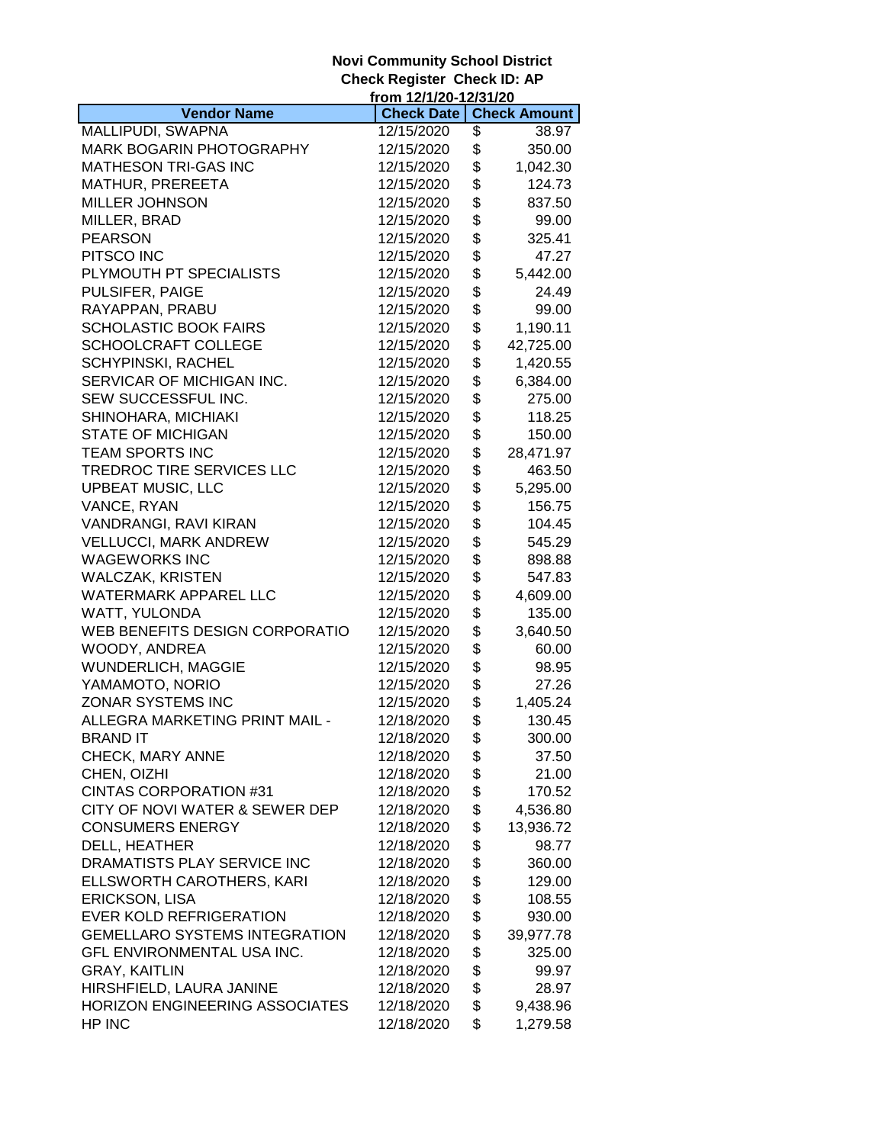|                                      | from 12/1/20-12/31/20 |                     |
|--------------------------------------|-----------------------|---------------------|
| <b>Vendor Name</b>                   | <b>Check Date</b>     | <b>Check Amount</b> |
| MALLIPUDI, SWAPNA                    | 12/15/2020            | \$<br>38.97         |
| MARK BOGARIN PHOTOGRAPHY             | 12/15/2020            | \$<br>350.00        |
| MATHESON TRI-GAS INC                 | 12/15/2020            | \$<br>1,042.30      |
| MATHUR, PREREETA                     | 12/15/2020            | \$<br>124.73        |
| <b>MILLER JOHNSON</b>                | 12/15/2020            | \$<br>837.50        |
| MILLER, BRAD                         | 12/15/2020            | \$<br>99.00         |
| <b>PEARSON</b>                       | 12/15/2020            | \$<br>325.41        |
| PITSCO INC                           | 12/15/2020            | \$<br>47.27         |
| PLYMOUTH PT SPECIALISTS              | 12/15/2020            | \$<br>5,442.00      |
| PULSIFER, PAIGE                      | 12/15/2020            | \$<br>24.49         |
| RAYAPPAN, PRABU                      | 12/15/2020            | \$<br>99.00         |
| <b>SCHOLASTIC BOOK FAIRS</b>         | 12/15/2020            | \$<br>1,190.11      |
| SCHOOLCRAFT COLLEGE                  | 12/15/2020            | \$<br>42,725.00     |
|                                      |                       | \$                  |
| <b>SCHYPINSKI, RACHEL</b>            | 12/15/2020            | 1,420.55            |
| SERVICAR OF MICHIGAN INC.            | 12/15/2020            | \$<br>6,384.00      |
| SEW SUCCESSFUL INC.                  | 12/15/2020            | \$<br>275.00        |
| SHINOHARA, MICHIAKI                  | 12/15/2020            | \$<br>118.25        |
| <b>STATE OF MICHIGAN</b>             | 12/15/2020            | \$<br>150.00        |
| <b>TEAM SPORTS INC</b>               | 12/15/2020            | \$<br>28,471.97     |
| TREDROC TIRE SERVICES LLC            | 12/15/2020            | \$<br>463.50        |
| <b>UPBEAT MUSIC, LLC</b>             | 12/15/2020            | \$<br>5,295.00      |
| VANCE, RYAN                          | 12/15/2020            | \$<br>156.75        |
| VANDRANGI, RAVI KIRAN                | 12/15/2020            | \$<br>104.45        |
| <b>VELLUCCI, MARK ANDREW</b>         | 12/15/2020            | \$<br>545.29        |
| <b>WAGEWORKS INC</b>                 | 12/15/2020            | \$<br>898.88        |
| <b>WALCZAK, KRISTEN</b>              | 12/15/2020            | \$<br>547.83        |
| <b>WATERMARK APPAREL LLC</b>         | 12/15/2020            | \$<br>4,609.00      |
| WATT, YULONDA                        | 12/15/2020            | \$<br>135.00        |
| WEB BENEFITS DESIGN CORPORATIO       | 12/15/2020            | \$<br>3,640.50      |
| WOODY, ANDREA                        | 12/15/2020            | \$<br>60.00         |
| WUNDERLICH, MAGGIE                   | 12/15/2020            | \$<br>98.95         |
| YAMAMOTO, NORIO                      | 12/15/2020            | \$<br>27.26         |
| ZONAR SYSTEMS INC                    | 12/15/2020            | \$<br>1,405.24      |
| ALLEGRA MARKETING PRINT MAIL -       | 12/18/2020            | \$<br>130.45        |
| BRAND IT                             | 12/18/2020            | \$<br>300.00        |
| CHECK, MARY ANNE                     | 12/18/2020            | \$<br>37.50         |
| CHEN, OIZHI                          | 12/18/2020            | \$<br>21.00         |
| <b>CINTAS CORPORATION #31</b>        | 12/18/2020            | \$<br>170.52        |
| CITY OF NOVI WATER & SEWER DEP       | 12/18/2020            | \$<br>4,536.80      |
| <b>CONSUMERS ENERGY</b>              | 12/18/2020            |                     |
|                                      | 12/18/2020            | \$<br>13,936.72     |
| DELL, HEATHER                        |                       | \$<br>98.77         |
| DRAMATISTS PLAY SERVICE INC          | 12/18/2020            | \$<br>360.00        |
| ELLSWORTH CAROTHERS, KARI            | 12/18/2020            | \$<br>129.00        |
| <b>ERICKSON, LISA</b>                | 12/18/2020            | \$<br>108.55        |
| <b>EVER KOLD REFRIGERATION</b>       | 12/18/2020            | \$<br>930.00        |
| <b>GEMELLARO SYSTEMS INTEGRATION</b> | 12/18/2020            | \$<br>39,977.78     |
| GFL ENVIRONMENTAL USA INC.           | 12/18/2020            | \$<br>325.00        |
| <b>GRAY, KAITLIN</b>                 | 12/18/2020            | \$<br>99.97         |
| HIRSHFIELD, LAURA JANINE             | 12/18/2020            | \$<br>28.97         |
| HORIZON ENGINEERING ASSOCIATES       | 12/18/2020            | \$<br>9,438.96      |
| HP INC                               | 12/18/2020            | \$<br>1,279.58      |